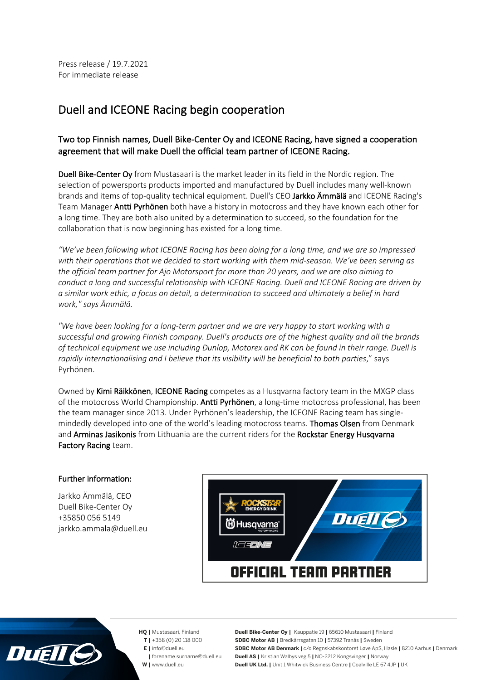## Duell and ICEONE Racing begin cooperation

## Two top Finnish names, Duell Bike-Center Oy and ICEONE Racing, have signed a cooperation agreement that will make Duell the official team partner of ICEONE Racing.

Duell Bike-Center Oy from Mustasaari is the market leader in its field in the Nordic region. The selection of powersports products imported and manufactured by Duell includes many well-known brands and items of top-quality technical equipment. Duell's CEO Jarkko Ämmälä and ICEONE Racing's Team Manager Antti Pyrhönen both have a history in motocross and they have known each other for a long time. They are both also united by a determination to succeed, so the foundation for the collaboration that is now beginning has existed for a long time.

*"We've been following what ICEONE Racing has been doing for a long time, and we are so impressed with their operations that we decided to start working with them mid-season. We've been serving as the official team partner for Ajo Motorsport for more than 20 years, and we are also aiming to conduct a long and successful relationship with ICEONE Racing. Duell and ICEONE Racing are driven by a similar work ethic, a focus on detail, a determination to succeed and ultimately a belief in hard work," says Ämmälä.*

*"We have been looking for a long-term partner and we are very happy to start working with a successful and growing Finnish company. Duell's products are of the highest quality and all the brands of technical equipment we use including Dunlop, Motorex and RK can be found in their range. Duell is rapidly internationalising and I believe that its visibility will be beneficial to both parties*," says Pyrhönen.

Owned by Kimi Räikkönen, ICEONE Racing competes as a Husqvarna factory team in the MXGP class of the motocross World Championship. Antti Pyrhönen, a long-time motocross professional, has been the team manager since 2013. Under Pyrhönen's leadership, the ICEONE Racing team has singlemindedly developed into one of the world's leading motocross teams. **Thomas Olsen** from Denmark and Arminas Jasikonis from Lithuania are the current riders for the Rockstar Energy Husqvarna Factory Racing team.

## Further information:

Jarkko Ämmälä, CEO Duell Bike-Center Oy +35850 056 5149 jarkko.ammala@duell.eu





- **HQ |** Mustasaari, Finland  **T |** +358 (0) 20 118 000
	- **E |** info@duell.eu
	- **|** forename.surname@duell.eu
	- **W |** www.duell.eu

**Duell Bike-Center Oy |** Kauppatie 19 **|** 65610 Mustasaari **|** Finland **SDBC Motor AB |** Bredkärrsgatan 10 **|** 57392 Tranås **|** Sweden **SDBC Motor AB Denmark |** c/o Regnskabskontoret Løve ApS, Hasle **|** 8210 Aarhus **|** Denmark **Duell AS |** Kristian Walbys veg 5 **|** NO-2212 Kongsvinger **|** Norway **Duell UK Ltd. |** Unit 1 Whitwick Business Centre **|** Coalville LE 67 4JP **|** UK